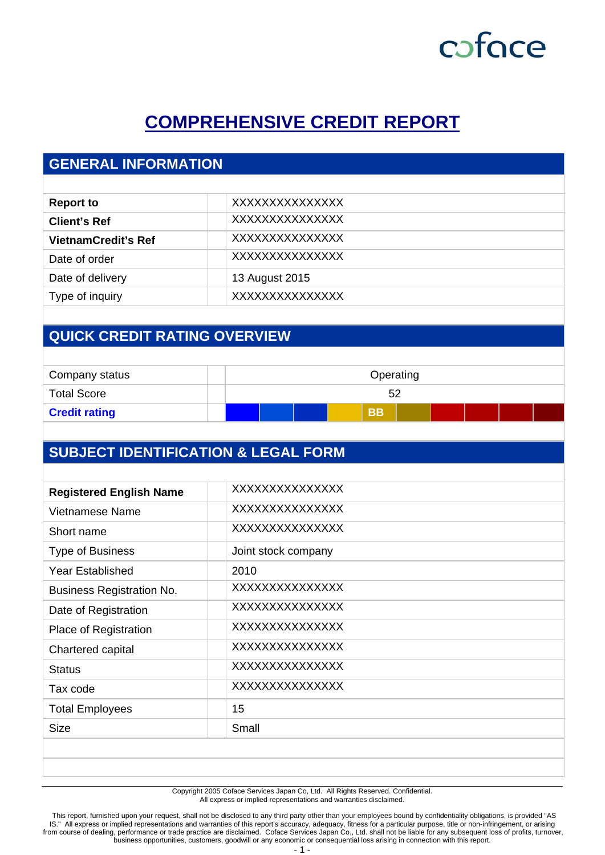## **COMPREHENSIVE CREDIT REPORT**

## **GENERAL INFORMATION**

| <b>Report to</b>           | XXXXXXXXXXXXXXX |
|----------------------------|-----------------|
| <b>Client's Ref</b>        | XXXXXXXXXXXXXX  |
| <b>VietnamCredit's Ref</b> | XXXXXXXXXXXXXX  |
| Date of order              | XXXXXXXXXXXXXX  |
| Date of delivery           | 13 August 2015  |
| Type of inquiry            | XXXXXXXXXXXXXX  |
|                            |                 |

## **QUICK CREDIT RATING OVERVIEW**

| Company status       | Operating |  |  |  |           |  |  |  |
|----------------------|-----------|--|--|--|-----------|--|--|--|
| <b>Total Score</b>   |           |  |  |  | 52        |  |  |  |
| <b>Credit rating</b> |           |  |  |  | <b>BB</b> |  |  |  |

## **SUBJECT IDENTIFICATION & LEGAL FORM**

| <b>Registered English Name</b>   | XXXXXXXXXXXXXXX     |
|----------------------------------|---------------------|
| Vietnamese Name                  | XXXXXXXXXXXXXX      |
| Short name                       | XXXXXXXXXXXXXXX     |
| <b>Type of Business</b>          | Joint stock company |
| <b>Year Established</b>          | 2010                |
| <b>Business Registration No.</b> | XXXXXXXXXXXXXXX     |
| Date of Registration             | XXXXXXXXXXXXXX      |
| Place of Registration            | XXXXXXXXXXXXXX      |
| Chartered capital                | XXXXXXXXXXXXXX      |
| <b>Status</b>                    | XXXXXXXXXXXXXX      |
| Tax code                         | XXXXXXXXXXXXXX      |
| <b>Total Employees</b>           | 15                  |
| <b>Size</b>                      | Small               |
|                                  |                     |
|                                  |                     |

Copyright 2005 Coface Services Japan Co, Ltd. All Rights Reserved. Confidential. All express or implied representations and warranties disclaimed.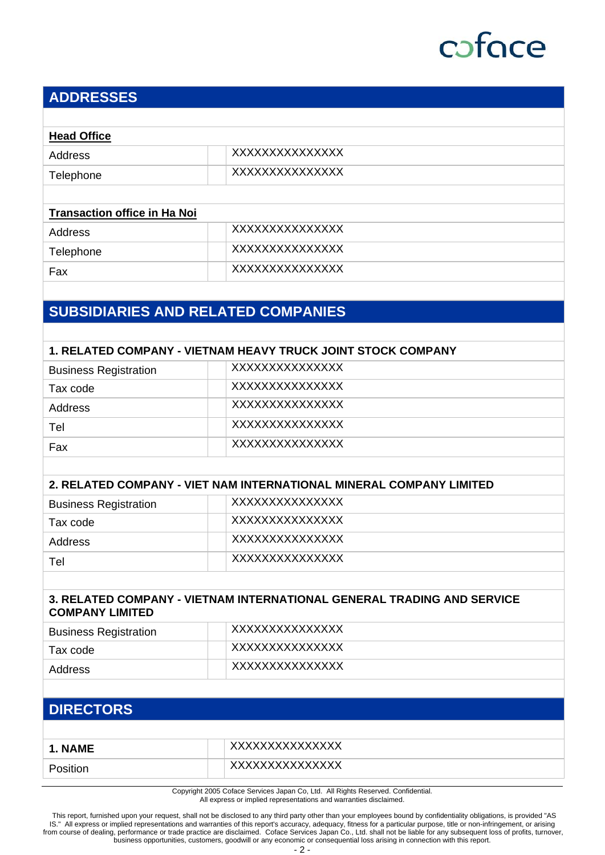### **ADDRESSES**

| <b>Head Office</b> |                |  |
|--------------------|----------------|--|
| Address            | XXXXXXXXXXXXXX |  |
| Telephone          | XXXXXXXXXXXXXX |  |
|                    |                |  |

#### **Transaction office in Ha Noi**

| Address   | XXXXXXXXXXXXXXX |
|-----------|-----------------|
| Telephone | XXXXXXXXXXXXXX  |
| Fax       | XXXXXXXXXXXXXX  |

### **SUBSIDIARIES AND RELATED COMPANIES**

#### **1. RELATED COMPANY - VIETNAM HEAVY TRUCK JOINT STOCK COMPANY**

| <b>Business Registration</b> | XXXXXXXXXXXXXX  |
|------------------------------|-----------------|
| Tax code                     | XXXXXXXXXXXXXX  |
| Address                      | XXXXXXXXXXXXXX  |
| Tel                          | XXXXXXXXXXXXXXX |
| Fax                          | XXXXXXXXXXXXXX  |

#### **2. RELATED COMPANY - VIET NAM INTERNATIONAL MINERAL COMPANY LIMITED**

| <b>Business Registration</b> | XXXXXXXXXXXXXX |
|------------------------------|----------------|
| Tax code                     | XXXXXXXXXXXXXX |
| Address                      | XXXXXXXXXXXXXX |
| Tel                          | XXXXXXXXXXXXXX |

#### **3. RELATED COMPANY - VIETNAM INTERNATIONAL GENERAL TRADING AND SERVICE COMPANY LIMITED**

| <b>Business Registration</b> | XXXXXXXXXXXXXXX |
|------------------------------|-----------------|
| Tax code                     | XXXXXXXXXXXXXX  |
| Address                      | XXXXXXXXXXXXXX  |

### **DIRECTORS**

| 1. NAME | XXXXXXXXXXXXXXX |
|---------|-----------------|
|         | XXXXXXXXXXXXXX  |

Copyright 2005 Coface Services Japan Co, Ltd. All Rights Reserved. Confidential. All express or implied representations and warranties disclaimed.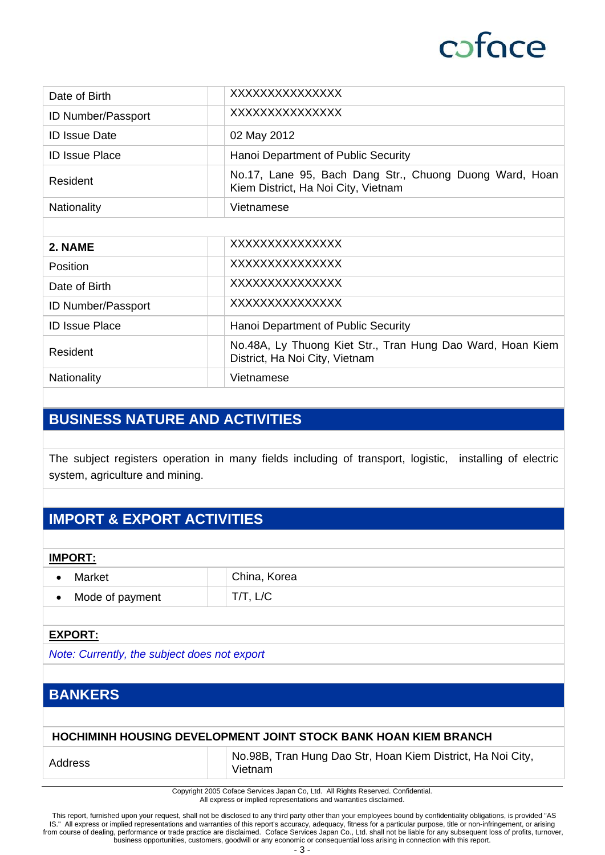| Date of Birth             | XXXXXXXXXXXXXX                                                                                 |
|---------------------------|------------------------------------------------------------------------------------------------|
| ID Number/Passport        | XXXXXXXXXXXXXXX                                                                                |
| <b>ID Issue Date</b>      | 02 May 2012                                                                                    |
| <b>ID Issue Place</b>     | Hanoi Department of Public Security                                                            |
| Resident                  | No.17, Lane 95, Bach Dang Str., Chuong Duong Ward, Hoan<br>Kiem District, Ha Noi City, Vietnam |
| <b>Nationality</b>        | Vietnamese                                                                                     |
|                           |                                                                                                |
| 2. NAME                   | XXXXXXXXXXXXXX                                                                                 |
| Position                  | XXXXXXXXXXXXXX                                                                                 |
| Date of Birth             | XXXXXXXXXXXXXX                                                                                 |
| <b>ID Number/Passport</b> | XXXXXXXXXXXXXX                                                                                 |
| <b>ID Issue Place</b>     | Hanoi Department of Public Security                                                            |
| Resident                  | No.48A, Ly Thuong Kiet Str., Tran Hung Dao Ward, Hoan Kiem<br>District, Ha Noi City, Vietnam   |
| Nationality               | Vietnamese                                                                                     |

## **BUSINESS NATURE AND ACTIVITIES**

The subject registers operation in many fields including of transport, logistic, installing of electric system, agriculture and mining.

## **IMPORT & EXPORT ACTIVITIES**

#### **IMPORT:**

| Market          | China, Korea |  |
|-----------------|--------------|--|
| Mode of payment |              |  |

#### **EXPORT:**

*Note: Currently, the subject does not export* 

### **BANKERS**

#### **HOCHIMINH HOUSING DEVELOPMENT JOINT STOCK BANK HOAN KIEM BRANCH**

Address No.98B, Tran Hung Dao Str, Hoan Kiem District, Ha Noi City, Vietnam

> Copyright 2005 Coface Services Japan Co, Ltd. All Rights Reserved. Confidential. All express or implied representations and warranties disclaimed.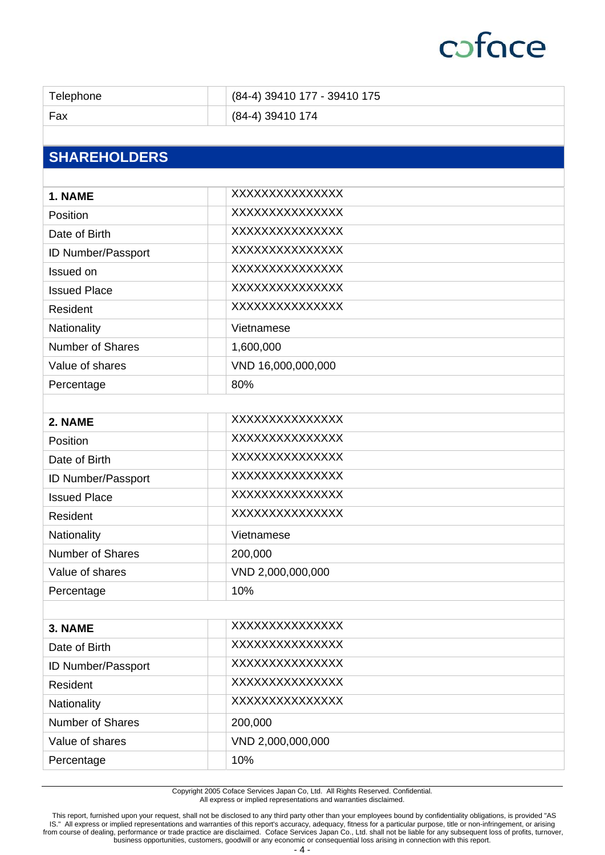| Telephone               | (84-4) 39410 177 - 39410 175 |
|-------------------------|------------------------------|
| Fax                     | (84-4) 39410 174             |
|                         |                              |
| <b>SHAREHOLDERS</b>     |                              |
|                         |                              |
| 1. NAME                 | XXXXXXXXXXXXXX               |
| Position                | <b>XXXXXXXXXXXXXXX</b>       |
| Date of Birth           | XXXXXXXXXXXXXXX              |
| ID Number/Passport      | XXXXXXXXXXXXXX               |
| Issued on               | XXXXXXXXXXXXXXX              |
| <b>Issued Place</b>     | XXXXXXXXXXXXXX               |
| Resident                | XXXXXXXXXXXXXX               |
| Nationality             | Vietnamese                   |
| <b>Number of Shares</b> | 1,600,000                    |
| Value of shares         | VND 16,000,000,000           |
| Percentage              | 80%                          |
|                         |                              |
| 2. NAME                 | XXXXXXXXXXXXXX               |
| Position                | XXXXXXXXXXXXXXX              |
| Date of Birth           | XXXXXXXXXXXXXXX              |
| ID Number/Passport      | XXXXXXXXXXXXXX               |
| <b>Issued Place</b>     | XXXXXXXXXXXXXXX              |
| Resident                | XXXXXXXXXXXXXX               |
| Nationality             | Vietnamese                   |
| <b>Number of Shares</b> | 200,000                      |
| Value of shares         | VND 2,000,000,000            |
| Percentage              | 10%                          |
|                         |                              |
| 3. NAME                 | XXXXXXXXXXXXXX               |
| Date of Birth           | XXXXXXXXXXXXXXX              |
| ID Number/Passport      | XXXXXXXXXXXXXXX              |
| Resident                | XXXXXXXXXXXXXX               |
| Nationality             | XXXXXXXXXXXXXX               |
| <b>Number of Shares</b> | 200,000                      |
| Value of shares         | VND 2,000,000,000            |
| Percentage              | 10%                          |

Copyright 2005 Coface Services Japan Co, Ltd. All Rights Reserved. Confidential. All express or implied representations and warranties disclaimed.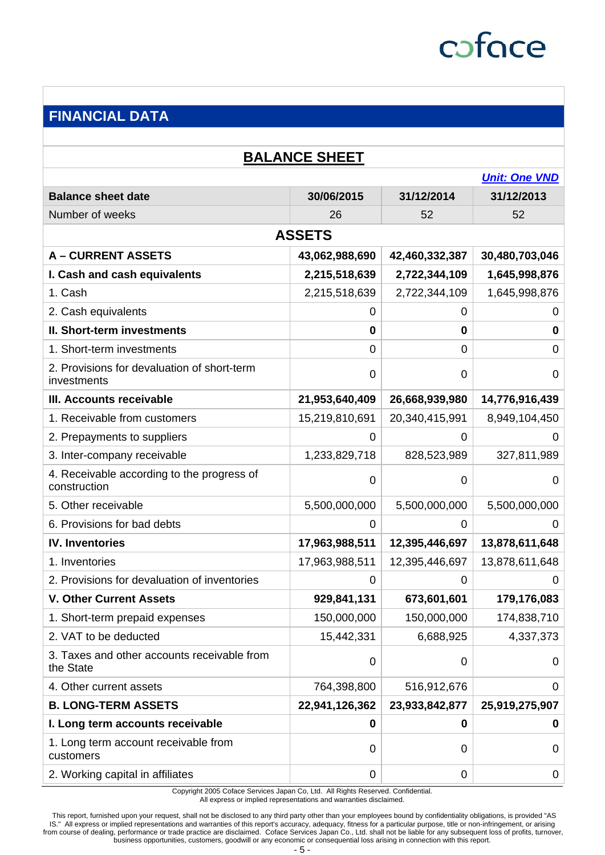

## **FINANCIAL DATA**

| <b>BALANCE SHEET</b>                                       |                |                |                      |  |
|------------------------------------------------------------|----------------|----------------|----------------------|--|
|                                                            |                |                | <b>Unit: One VND</b> |  |
| <b>Balance sheet date</b>                                  | 30/06/2015     | 31/12/2014     | 31/12/2013           |  |
| Number of weeks                                            | 26             | 52             | 52                   |  |
|                                                            | <b>ASSETS</b>  |                |                      |  |
| <b>A-CURRENT ASSETS</b>                                    | 43,062,988,690 | 42,460,332,387 | 30,480,703,046       |  |
| I. Cash and cash equivalents                               | 2,215,518,639  | 2,722,344,109  | 1,645,998,876        |  |
| 1. Cash                                                    | 2,215,518,639  | 2,722,344,109  | 1,645,998,876        |  |
| 2. Cash equivalents                                        | 0              | 0              | 0                    |  |
| II. Short-term investments                                 | 0              | $\mathbf 0$    | $\mathbf 0$          |  |
| 1. Short-term investments                                  | $\Omega$       | 0              | 0                    |  |
| 2. Provisions for devaluation of short-term<br>investments | 0              | 0              | 0                    |  |
| III. Accounts receivable                                   | 21,953,640,409 | 26,668,939,980 | 14,776,916,439       |  |
| 1. Receivable from customers                               | 15,219,810,691 | 20,340,415,991 | 8,949,104,450        |  |
| 2. Prepayments to suppliers                                | 0              | 0              | $\mathbf{0}$         |  |
| 3. Inter-company receivable                                | 1,233,829,718  | 828,523,989    | 327,811,989          |  |
| 4. Receivable according to the progress of<br>construction | 0              | 0              | 0                    |  |
| 5. Other receivable                                        | 5,500,000,000  | 5,500,000,000  | 5,500,000,000        |  |
| 6. Provisions for bad debts                                | 0              | 0              | 0                    |  |
| <b>IV. Inventories</b>                                     | 17,963,988,511 | 12,395,446,697 | 13,878,611,648       |  |
| 1. Inventories                                             | 17,963,988,511 | 12,395,446,697 | 13,878,611,648       |  |
| 2. Provisions for devaluation of inventories               | 0              | 0              | 0                    |  |
| <b>V. Other Current Assets</b>                             | 929,841,131    | 673,601,601    | 179,176,083          |  |
| 1. Short-term prepaid expenses                             | 150,000,000    | 150,000,000    | 174,838,710          |  |
| 2. VAT to be deducted                                      | 15,442,331     | 6,688,925      | 4,337,373            |  |
| 3. Taxes and other accounts receivable from<br>the State   | $\mathbf 0$    | 0              | 0                    |  |
| 4. Other current assets                                    | 764,398,800    | 516,912,676    | 0                    |  |
| <b>B. LONG-TERM ASSETS</b>                                 | 22,941,126,362 | 23,933,842,877 | 25,919,275,907       |  |
| I. Long term accounts receivable                           | 0              | 0              | 0                    |  |
| 1. Long term account receivable from<br>customers          | 0              | 0              | 0                    |  |
| 2. Working capital in affiliates                           | 0              | $\pmb{0}$      | 0                    |  |

Copyright 2005 Coface Services Japan Co, Ltd. All Rights Reserved. Confidential. All express or implied representations and warranties disclaimed.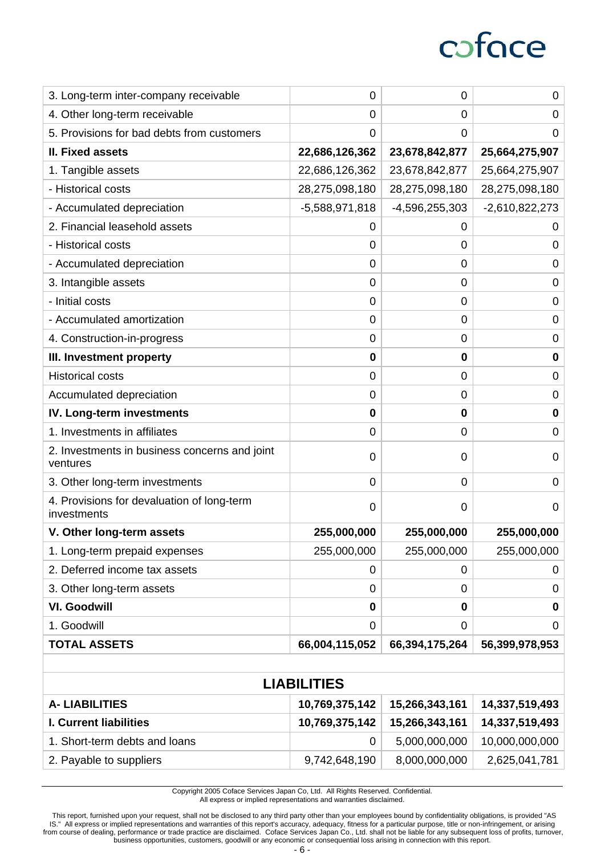| 3. Long-term inter-company receivable                     | 0                  | $\pmb{0}$        | 0                |
|-----------------------------------------------------------|--------------------|------------------|------------------|
| 4. Other long-term receivable                             | 0                  | $\mathbf 0$      | 0                |
| 5. Provisions for bad debts from customers                | 0                  | $\mathbf 0$      | 0                |
| <b>II. Fixed assets</b>                                   | 22,686,126,362     | 23,678,842,877   | 25,664,275,907   |
| 1. Tangible assets                                        | 22,686,126,362     | 23,678,842,877   | 25,664,275,907   |
| - Historical costs                                        | 28,275,098,180     | 28,275,098,180   | 28,275,098,180   |
| - Accumulated depreciation                                | $-5,588,971,818$   | $-4,596,255,303$ | $-2,610,822,273$ |
| 2. Financial leasehold assets                             | 0                  | 0                | 0                |
| - Historical costs                                        | 0                  | $\mathbf 0$      | 0                |
| - Accumulated depreciation                                | 0                  | $\mathbf 0$      | 0                |
| 3. Intangible assets                                      | 0                  | 0                | 0                |
| - Initial costs                                           | 0                  | $\mathbf 0$      | 0                |
| - Accumulated amortization                                | 0                  | $\mathbf 0$      | $\mathbf 0$      |
| 4. Construction-in-progress                               | 0                  | $\mathbf 0$      | $\mathbf 0$      |
| III. Investment property                                  | 0                  | $\mathbf 0$      | 0                |
| <b>Historical costs</b>                                   | 0                  | $\mathbf 0$      | 0                |
| Accumulated depreciation                                  | 0                  | $\mathbf 0$      | 0                |
| <b>IV. Long-term investments</b>                          | 0                  | $\bf{0}$         | 0                |
| 1. Investments in affiliates                              | 0                  | 0                | 0                |
| 2. Investments in business concerns and joint<br>ventures | 0                  | 0                | 0                |
| 3. Other long-term investments                            | 0                  | $\mathbf 0$      | 0                |
| 4. Provisions for devaluation of long-term<br>investments | 0                  | 0                | 0                |
| V. Other long-term assets                                 | 255,000,000        | 255,000,000      | 255,000,000      |
| 1. Long-term prepaid expenses                             | 255,000,000        | 255,000,000      | 255,000,000      |
| 2. Deferred income tax assets                             | 0                  | 0                | 0                |
| 3. Other long-term assets                                 | 0                  | $\mathbf 0$      | $\pmb{0}$        |
| <b>VI. Goodwill</b>                                       | 0                  | $\mathbf 0$      | 0                |
| 1. Goodwill                                               | 0                  | $\mathbf 0$      | 0                |
| <b>TOTAL ASSETS</b>                                       | 66,004,115,052     | 66,394,175,264   | 56,399,978,953   |
|                                                           |                    |                  |                  |
|                                                           | <b>LIABILITIES</b> |                  |                  |
| <b>A-LIABILITIES</b>                                      | 10,769,375,142     | 15,266,343,161   | 14,337,519,493   |
| <b>I. Current liabilities</b>                             | 10.769.375.142     | 15.266.343.161   | 14.337.519.493   |

| A' LIADILITIES                |                | $10, 703, 373, 142$ $13, 200, 343, 101$ | U4,JJJ,JJJ,49J |
|-------------------------------|----------------|-----------------------------------------|----------------|
| <b>I. Current liabilities</b> | 10,769,375,142 | 15,266,343,161                          | 14,337,519,493 |
| 1. Short-term debts and loans |                | 5,000,000,000                           | 10,000,000,000 |
| 2. Payable to suppliers       | 9,742,648,190  | 8,000,000,000                           | 2,625,041,781  |

Copyright 2005 Coface Services Japan Co, Ltd. All Rights Reserved. Confidential. All express or implied representations and warranties disclaimed.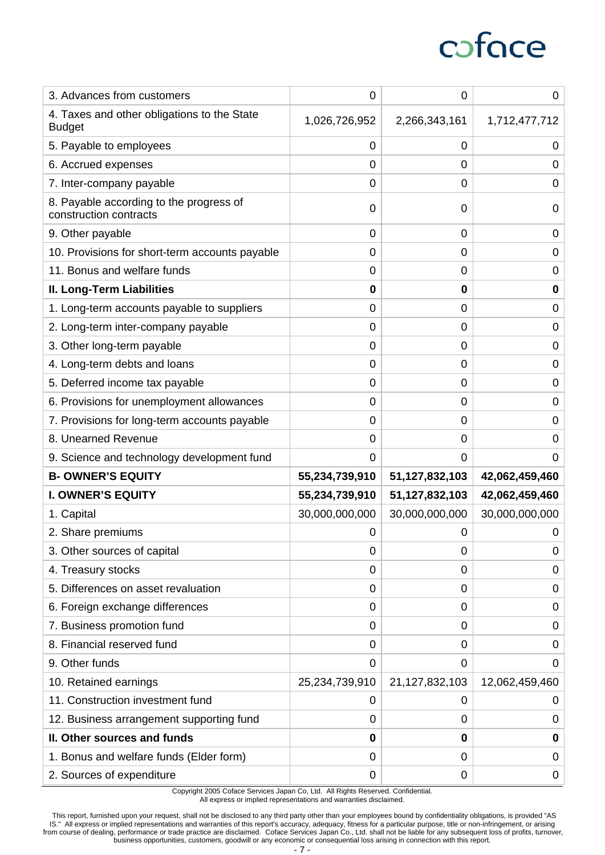| 3. Advances from customers                                        | 0              | $\mathbf 0$    | 0              |
|-------------------------------------------------------------------|----------------|----------------|----------------|
| 4. Taxes and other obligations to the State<br><b>Budget</b>      | 1,026,726,952  | 2,266,343,161  | 1,712,477,712  |
| 5. Payable to employees                                           | 0              | $\mathbf 0$    | 0              |
| 6. Accrued expenses                                               | 0              | $\mathbf 0$    | 0              |
| 7. Inter-company payable                                          | 0              | 0              | 0              |
| 8. Payable according to the progress of<br>construction contracts | 0              | 0              | 0              |
| 9. Other payable                                                  | 0              | $\mathbf 0$    | 0              |
| 10. Provisions for short-term accounts payable                    | 0              | 0              | 0              |
| 11. Bonus and welfare funds                                       | 0              | $\mathbf 0$    | 0              |
| II. Long-Term Liabilities                                         | 0              | 0              | 0              |
| 1. Long-term accounts payable to suppliers                        | 0              | 0              | 0              |
| 2. Long-term inter-company payable                                | 0              | 0              | 0              |
| 3. Other long-term payable                                        | 0              | $\overline{0}$ | $\mathbf 0$    |
| 4. Long-term debts and loans                                      | 0              | $\mathbf 0$    | $\pmb{0}$      |
| 5. Deferred income tax payable                                    | 0              | $\overline{0}$ | 0              |
| 6. Provisions for unemployment allowances                         | 0              | $\mathbf 0$    | 0              |
| 7. Provisions for long-term accounts payable                      | 0              | $\mathbf 0$    | 0              |
| 8. Unearned Revenue                                               | 0              | $\mathbf 0$    | 0              |
|                                                                   |                |                |                |
| 9. Science and technology development fund                        | 0              | 0              | 0              |
| <b>B- OWNER'S EQUITY</b>                                          | 55,234,739,910 | 51,127,832,103 | 42,062,459,460 |
| <b>I. OWNER'S EQUITY</b>                                          | 55,234,739,910 | 51,127,832,103 | 42,062,459,460 |
| 1. Capital                                                        | 30,000,000,000 | 30,000,000,000 | 30,000,000,000 |
| 2. Share premiums                                                 | 0              | 0              | 0              |
| 3. Other sources of capital                                       | 0              | $\mathbf 0$    | 0              |
| 4. Treasury stocks                                                | 0              | $\mathbf 0$    | 0              |
| 5. Differences on asset revaluation                               | 0              | 0              | 0              |
| 6. Foreign exchange differences                                   | 0              | 0              | 0              |
| 7. Business promotion fund                                        | 0              | $\overline{0}$ | 0              |
| 8. Financial reserved fund                                        | 0              | $\mathbf 0$    | 0              |
| 9. Other funds                                                    | 0              | $\mathbf 0$    | 0              |
| 10. Retained earnings                                             | 25,234,739,910 | 21,127,832,103 | 12,062,459,460 |
| 11. Construction investment fund                                  | 0              | 0              | 0              |
| 12. Business arrangement supporting fund                          | 0              | 0              | 0              |
| II. Other sources and funds                                       | 0              | 0              | 0              |
| 1. Bonus and welfare funds (Elder form)                           | 0              | $\mathbf 0$    | 0              |

Copyright 2005 Coface Services Japan Co, Ltd. All Rights Reserved. Confidential. All express or implied representations and warranties disclaimed.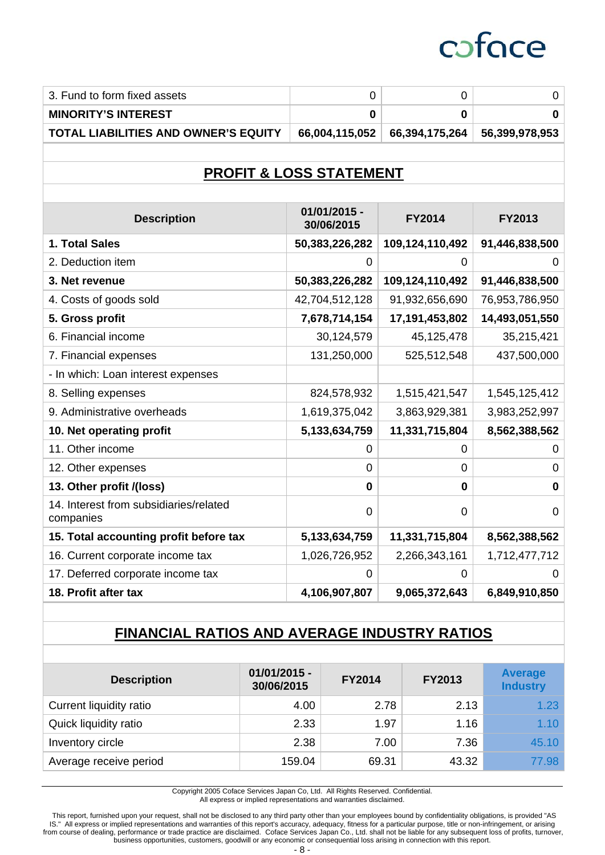| 3. Fund to form fixed assets<br>$\mathbf 0$<br>$\mathbf 0$<br><b>MINORITY'S INTEREST</b><br>0<br>$\bf{0}$<br><b>TOTAL LIABILITIES AND OWNER'S EQUITY</b><br>66,004,115,052<br>66,394,175,264<br><b>PROFIT &amp; LOSS STATEMENT</b><br>01/01/2015 -<br><b>Description</b><br><b>FY2014</b><br><b>FY2013</b><br>30/06/2015<br>1. Total Sales<br>50,383,226,282<br>109,124,110,492<br>2. Deduction item<br>0<br>0<br>3. Net revenue<br>109,124,110,492<br>50,383,226,282<br>4. Costs of goods sold<br>42,704,512,128<br>91,932,656,690<br>5. Gross profit<br>17,191,453,802<br>7,678,714,154<br>6. Financial income<br>30,124,579<br>45,125,478<br>131,250,000<br>525,512,548<br>7. Financial expenses<br>- In which: Loan interest expenses<br>8. Selling expenses<br>824,578,932<br>1,515,421,547<br>9. Administrative overheads<br>1,619,375,042<br>3,863,929,381<br>10. Net operating profit<br>5,133,634,759<br>11,331,715,804<br>11. Other income<br>$\mathbf 0$<br>0<br>12. Other expenses<br>$\mathbf 0$<br>$\overline{0}$<br>13. Other profit /(loss)<br>$\mathbf 0$<br>$\bf{0}$<br>14. Interest from subsidiaries/related<br>$\mathbf 0$<br>$\overline{0}$<br>companies<br>15. Total accounting profit before tax<br>5,133,634,759<br>11,331,715,804<br>16. Current corporate income tax<br>1,026,726,952<br>2,266,343,161<br>17. Deferred corporate income tax<br>0<br>0 |                      |               |               |                |
|----------------------------------------------------------------------------------------------------------------------------------------------------------------------------------------------------------------------------------------------------------------------------------------------------------------------------------------------------------------------------------------------------------------------------------------------------------------------------------------------------------------------------------------------------------------------------------------------------------------------------------------------------------------------------------------------------------------------------------------------------------------------------------------------------------------------------------------------------------------------------------------------------------------------------------------------------------------------------------------------------------------------------------------------------------------------------------------------------------------------------------------------------------------------------------------------------------------------------------------------------------------------------------------------------------------------------------------------------------------------------------|----------------------|---------------|---------------|----------------|
|                                                                                                                                                                                                                                                                                                                                                                                                                                                                                                                                                                                                                                                                                                                                                                                                                                                                                                                                                                                                                                                                                                                                                                                                                                                                                                                                                                                  |                      |               |               | $\mathbf 0$    |
|                                                                                                                                                                                                                                                                                                                                                                                                                                                                                                                                                                                                                                                                                                                                                                                                                                                                                                                                                                                                                                                                                                                                                                                                                                                                                                                                                                                  |                      |               |               | 0              |
|                                                                                                                                                                                                                                                                                                                                                                                                                                                                                                                                                                                                                                                                                                                                                                                                                                                                                                                                                                                                                                                                                                                                                                                                                                                                                                                                                                                  |                      |               |               | 56,399,978,953 |
|                                                                                                                                                                                                                                                                                                                                                                                                                                                                                                                                                                                                                                                                                                                                                                                                                                                                                                                                                                                                                                                                                                                                                                                                                                                                                                                                                                                  |                      |               |               |                |
|                                                                                                                                                                                                                                                                                                                                                                                                                                                                                                                                                                                                                                                                                                                                                                                                                                                                                                                                                                                                                                                                                                                                                                                                                                                                                                                                                                                  |                      |               |               |                |
|                                                                                                                                                                                                                                                                                                                                                                                                                                                                                                                                                                                                                                                                                                                                                                                                                                                                                                                                                                                                                                                                                                                                                                                                                                                                                                                                                                                  |                      |               |               |                |
|                                                                                                                                                                                                                                                                                                                                                                                                                                                                                                                                                                                                                                                                                                                                                                                                                                                                                                                                                                                                                                                                                                                                                                                                                                                                                                                                                                                  |                      |               |               |                |
|                                                                                                                                                                                                                                                                                                                                                                                                                                                                                                                                                                                                                                                                                                                                                                                                                                                                                                                                                                                                                                                                                                                                                                                                                                                                                                                                                                                  |                      |               |               | 91,446,838,500 |
|                                                                                                                                                                                                                                                                                                                                                                                                                                                                                                                                                                                                                                                                                                                                                                                                                                                                                                                                                                                                                                                                                                                                                                                                                                                                                                                                                                                  |                      |               |               | 0              |
|                                                                                                                                                                                                                                                                                                                                                                                                                                                                                                                                                                                                                                                                                                                                                                                                                                                                                                                                                                                                                                                                                                                                                                                                                                                                                                                                                                                  |                      |               |               | 91,446,838,500 |
|                                                                                                                                                                                                                                                                                                                                                                                                                                                                                                                                                                                                                                                                                                                                                                                                                                                                                                                                                                                                                                                                                                                                                                                                                                                                                                                                                                                  |                      |               |               | 76,953,786,950 |
|                                                                                                                                                                                                                                                                                                                                                                                                                                                                                                                                                                                                                                                                                                                                                                                                                                                                                                                                                                                                                                                                                                                                                                                                                                                                                                                                                                                  |                      |               |               | 14,493,051,550 |
|                                                                                                                                                                                                                                                                                                                                                                                                                                                                                                                                                                                                                                                                                                                                                                                                                                                                                                                                                                                                                                                                                                                                                                                                                                                                                                                                                                                  |                      |               |               | 35,215,421     |
|                                                                                                                                                                                                                                                                                                                                                                                                                                                                                                                                                                                                                                                                                                                                                                                                                                                                                                                                                                                                                                                                                                                                                                                                                                                                                                                                                                                  |                      |               |               | 437,500,000    |
|                                                                                                                                                                                                                                                                                                                                                                                                                                                                                                                                                                                                                                                                                                                                                                                                                                                                                                                                                                                                                                                                                                                                                                                                                                                                                                                                                                                  |                      |               |               |                |
|                                                                                                                                                                                                                                                                                                                                                                                                                                                                                                                                                                                                                                                                                                                                                                                                                                                                                                                                                                                                                                                                                                                                                                                                                                                                                                                                                                                  |                      |               |               | 1,545,125,412  |
|                                                                                                                                                                                                                                                                                                                                                                                                                                                                                                                                                                                                                                                                                                                                                                                                                                                                                                                                                                                                                                                                                                                                                                                                                                                                                                                                                                                  |                      |               |               | 3,983,252,997  |
|                                                                                                                                                                                                                                                                                                                                                                                                                                                                                                                                                                                                                                                                                                                                                                                                                                                                                                                                                                                                                                                                                                                                                                                                                                                                                                                                                                                  |                      |               |               | 8,562,388,562  |
|                                                                                                                                                                                                                                                                                                                                                                                                                                                                                                                                                                                                                                                                                                                                                                                                                                                                                                                                                                                                                                                                                                                                                                                                                                                                                                                                                                                  |                      |               |               | 0              |
|                                                                                                                                                                                                                                                                                                                                                                                                                                                                                                                                                                                                                                                                                                                                                                                                                                                                                                                                                                                                                                                                                                                                                                                                                                                                                                                                                                                  |                      |               |               | 0              |
|                                                                                                                                                                                                                                                                                                                                                                                                                                                                                                                                                                                                                                                                                                                                                                                                                                                                                                                                                                                                                                                                                                                                                                                                                                                                                                                                                                                  |                      |               |               | $\mathbf 0$    |
|                                                                                                                                                                                                                                                                                                                                                                                                                                                                                                                                                                                                                                                                                                                                                                                                                                                                                                                                                                                                                                                                                                                                                                                                                                                                                                                                                                                  |                      |               |               | $\mathbf 0$    |
|                                                                                                                                                                                                                                                                                                                                                                                                                                                                                                                                                                                                                                                                                                                                                                                                                                                                                                                                                                                                                                                                                                                                                                                                                                                                                                                                                                                  |                      |               |               | 8,562,388,562  |
|                                                                                                                                                                                                                                                                                                                                                                                                                                                                                                                                                                                                                                                                                                                                                                                                                                                                                                                                                                                                                                                                                                                                                                                                                                                                                                                                                                                  |                      |               |               | 1,712,477,712  |
|                                                                                                                                                                                                                                                                                                                                                                                                                                                                                                                                                                                                                                                                                                                                                                                                                                                                                                                                                                                                                                                                                                                                                                                                                                                                                                                                                                                  |                      |               |               | 0              |
|                                                                                                                                                                                                                                                                                                                                                                                                                                                                                                                                                                                                                                                                                                                                                                                                                                                                                                                                                                                                                                                                                                                                                                                                                                                                                                                                                                                  | 18. Profit after tax | 4,106,907,807 | 9,065,372,643 | 6,849,910,850  |

### **FINANCIAL RATIOS AND AVERAGE INDUSTRY RATIOS**

| <b>Description</b>      | $01/01/2015 -$<br>30/06/2015 | <b>FY2014</b> | <b>FY2013</b> | <b>Average</b><br><b>Industry</b> |
|-------------------------|------------------------------|---------------|---------------|-----------------------------------|
| Current liquidity ratio | 4.00                         | 2.78          | 2.13          | 1.23                              |
| Quick liquidity ratio   | 2.33                         | 1.97          | 1.16          | 1.10                              |
| Inventory circle        | 2.38                         | 7.00          | 7.36          | 45.10                             |
| Average receive period  | 159.04                       | 69.31         | 43.32         | 77.98                             |

Copyright 2005 Coface Services Japan Co, Ltd. All Rights Reserved. Confidential. All express or implied representations and warranties disclaimed.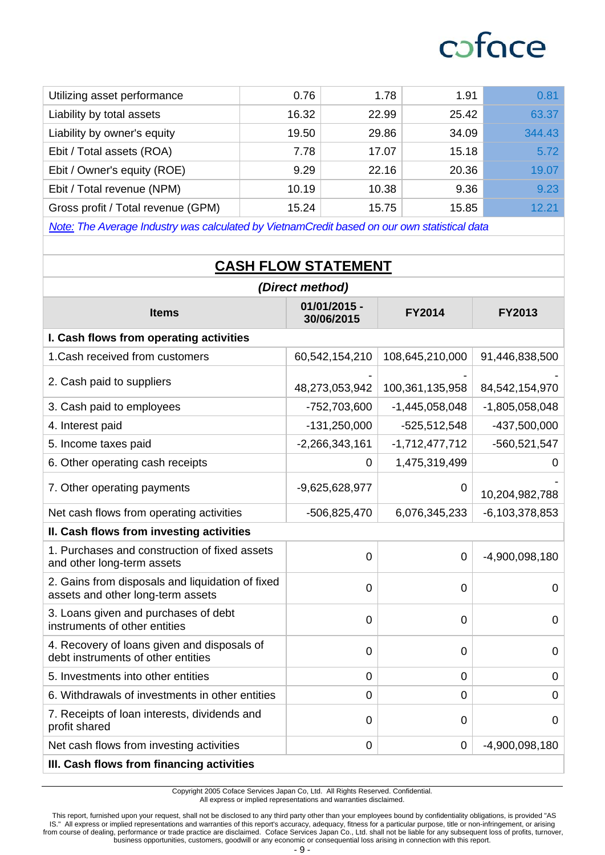| Utilizing asset performance        | 0.76  | 1.78  | 1.91  | 0.81   |
|------------------------------------|-------|-------|-------|--------|
| Liability by total assets          | 16.32 | 22.99 | 25.42 | 63.37  |
| Liability by owner's equity        | 19.50 | 29.86 | 34.09 | 344.43 |
| Ebit / Total assets (ROA)          | 7.78  | 17.07 | 15.18 | 5.72   |
| Ebit / Owner's equity (ROE)        | 9.29  | 22.16 | 20.36 | 19.07  |
| Ebit / Total revenue (NPM)         | 10.19 | 10.38 | 9.36  | 9.23   |
| Gross profit / Total revenue (GPM) | 15.24 | 15.75 | 15.85 | 12.21  |

*Note: The Average Industry was calculated by VietnamCredit based on our own statistical data* 

## **CASH FLOW STATEMENT**

| (Direct method)                                                                       |                            |                  |                     |
|---------------------------------------------------------------------------------------|----------------------------|------------------|---------------------|
| <b>Items</b>                                                                          | 01/01/2015 -<br>30/06/2015 | <b>FY2014</b>    | <b>FY2013</b>       |
| I. Cash flows from operating activities                                               |                            |                  |                     |
| 1. Cash received from customers                                                       | 60,542,154,210             | 108,645,210,000  | 91,446,838,500      |
| 2. Cash paid to suppliers                                                             | 48,273,053,942             | 100,361,135,958  | 84,542,154,970      |
| 3. Cash paid to employees                                                             | -752,703,600               | $-1,445,058,048$ | $-1,805,058,048$    |
| 4. Interest paid                                                                      | $-131,250,000$             | $-525,512,548$   | -437,500,000        |
| 5. Income taxes paid                                                                  | $-2,266,343,161$           | $-1,712,477,712$ | -560,521,547        |
| 6. Other operating cash receipts                                                      | 0                          | 1,475,319,499    | 0                   |
| 7. Other operating payments                                                           | $-9,625,628,977$           | $\mathbf 0$      | 10,204,982,788      |
| Net cash flows from operating activities                                              | $-506,825,470$             | 6,076,345,233    | $-6, 103, 378, 853$ |
| II. Cash flows from investing activities                                              |                            |                  |                     |
| 1. Purchases and construction of fixed assets<br>and other long-term assets           | $\mathbf 0$                | $\mathbf 0$      | $-4,900,098,180$    |
| 2. Gains from disposals and liquidation of fixed<br>assets and other long-term assets | $\overline{0}$             | $\mathbf 0$      | 0                   |
| 3. Loans given and purchases of debt<br>instruments of other entities                 | $\overline{0}$             | $\overline{0}$   | $\overline{0}$      |
| 4. Recovery of loans given and disposals of<br>debt instruments of other entities     | $\overline{0}$             | $\overline{0}$   | $\overline{0}$      |
| 5. Investments into other entities                                                    | $\mathbf 0$                | $\mathbf 0$      | $\mathbf 0$         |
| 6. Withdrawals of investments in other entities                                       | 0                          | $\mathbf 0$      | $\overline{0}$      |
| 7. Receipts of loan interests, dividends and<br>profit shared                         | $\overline{0}$             | $\mathbf 0$      | $\overline{0}$      |
| Net cash flows from investing activities                                              | $\overline{0}$             | $\mathbf 0$      | -4,900,098,180      |
| III. Cash flows from financing activities                                             |                            |                  |                     |

Copyright 2005 Coface Services Japan Co, Ltd. All Rights Reserved. Confidential. All express or implied representations and warranties disclaimed.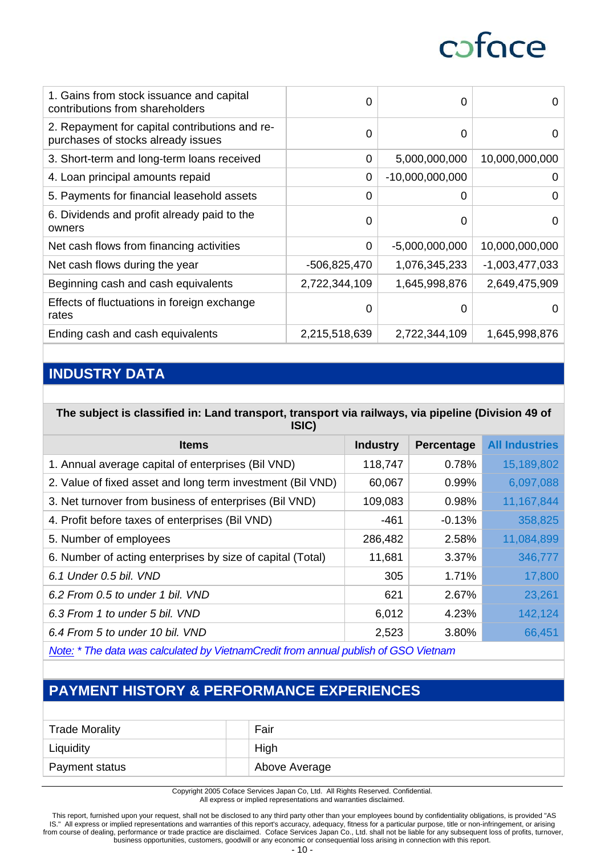| 1. Gains from stock issuance and capital<br>contributions from shareholders          | $\Omega$      | 0                 | 0                |
|--------------------------------------------------------------------------------------|---------------|-------------------|------------------|
| 2. Repayment for capital contributions and re-<br>purchases of stocks already issues | $\Omega$      | 0                 | 0                |
| 3. Short-term and long-term loans received                                           | $\Omega$      | 5,000,000,000     | 10,000,000,000   |
| 4. Loan principal amounts repaid                                                     | 0             | $-10,000,000,000$ | O                |
| 5. Payments for financial leasehold assets                                           | 0             | 0                 | 0                |
| 6. Dividends and profit already paid to the<br>owners                                | $\Omega$      | 0                 | $\Omega$         |
| Net cash flows from financing activities                                             | 0             | $-5,000,000,000$  | 10,000,000,000   |
| Net cash flows during the year                                                       | -506,825,470  | 1,076,345,233     | $-1,003,477,033$ |
| Beginning cash and cash equivalents                                                  | 2,722,344,109 | 1,645,998,876     | 2,649,475,909    |
| Effects of fluctuations in foreign exchange<br>rates                                 | $\Omega$      | 0                 | O                |
| Ending cash and cash equivalents                                                     | 2,215,518,639 | 2,722,344,109     | 1,645,998,876    |
|                                                                                      |               |                   |                  |

### **INDUSTRY DATA**

#### **The subject is classified in: Land transport, transport via railways, via pipeline (Division 49 of ISIC)**

| $\sim$                                                     |                 |            |                       |
|------------------------------------------------------------|-----------------|------------|-----------------------|
| <b>Items</b>                                               | <b>Industry</b> | Percentage | <b>All Industries</b> |
| 1. Annual average capital of enterprises (Bil VND)         | 118,747         | 0.78%      | 15,189,802            |
| 2. Value of fixed asset and long term investment (Bil VND) | 60,067          | 0.99%      | 6,097,088             |
| 3. Net turnover from business of enterprises (Bil VND)     | 109,083         | 0.98%      | 11, 167, 844          |
| 4. Profit before taxes of enterprises (Bil VND)            | $-461$          | $-0.13%$   | 358,825               |
| 5. Number of employees                                     | 286,482         | 2.58%      | 11,084,899            |
| 6. Number of acting enterprises by size of capital (Total) | 11,681          | 3.37%      | 346,777               |
| 6.1 Under 0.5 bil. VND                                     | 305             | 1.71%      | 17,800                |
| 6.2 From 0.5 to under 1 bil. VND                           | 621             | 2.67%      | 23,261                |
| 6.3 From 1 to under 5 bil. VND                             | 6,012           | 4.23%      | 142,124               |
| 6.4 From 5 to under 10 bil. VND                            | 2,523           | 3.80%      | 66,451                |
|                                                            |                 |            |                       |

*Note: \* The data was calculated by VietnamCredit from annual publish of GSO Vietnam* 

## **PAYMENT HISTORY & PERFORMANCE EXPERIENCES**

| <b>Trade Morality</b> | Fair          |
|-----------------------|---------------|
| Liquidity             | High          |
| Payment status        | Above Average |

Copyright 2005 Coface Services Japan Co, Ltd. All Rights Reserved. Confidential. All express or implied representations and warranties disclaimed.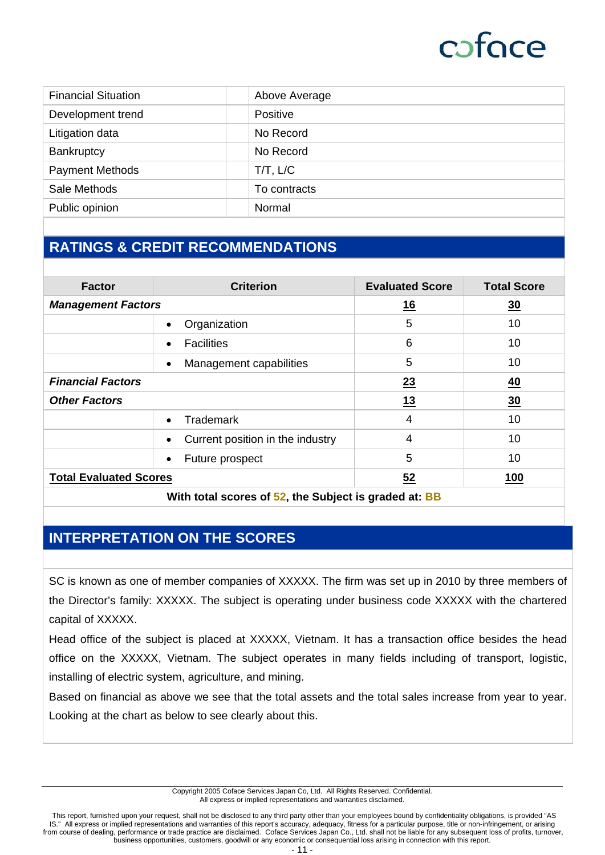| <b>Financial Situation</b><br>Above Average<br>Development trend<br>Positive<br>No Record<br>Litigation data |  |
|--------------------------------------------------------------------------------------------------------------|--|
|                                                                                                              |  |
|                                                                                                              |  |
|                                                                                                              |  |
| No Record<br><b>Bankruptcy</b>                                                                               |  |
| <b>Payment Methods</b><br>$T/T$ , $L/C$                                                                      |  |
| Sale Methods<br>To contracts                                                                                 |  |
| Public opinion<br>Normal                                                                                     |  |

## **RATINGS & CREDIT RECOMMENDATIONS**

| <b>Factor</b>                                         | <b>Criterion</b>                      | <b>Evaluated Score</b> | <b>Total Score</b> |  |  |
|-------------------------------------------------------|---------------------------------------|------------------------|--------------------|--|--|
| <b>Management Factors</b>                             |                                       | <u>16</u>              | $\overline{30}$    |  |  |
|                                                       | Organization                          | 5                      | 10                 |  |  |
|                                                       | <b>Facilities</b><br>$\bullet$        | 6                      | 10                 |  |  |
|                                                       | Management capabilities<br>$\bullet$  | 5                      | 10                 |  |  |
| <b>Financial Factors</b>                              |                                       | 23                     | <u>40</u>          |  |  |
| <b>Other Factors</b>                                  |                                       | <u>13</u>              | 30                 |  |  |
|                                                       | <b>Trademark</b><br>$\bullet$         | 4                      | 10                 |  |  |
|                                                       | Current position in the industry<br>٠ | $\overline{4}$         | 10                 |  |  |
|                                                       | Future prospect<br>٠                  | 5                      | 10                 |  |  |
| <b>Total Evaluated Scores</b>                         |                                       | 52                     | <b>100</b>         |  |  |
| With total scores of 52, the Subject is graded at: BB |                                       |                        |                    |  |  |

## **INTERPRETATION ON THE SCORES**

SC is known as one of member companies of XXXXX. The firm was set up in 2010 by three members of the Director's family: XXXXX. The subject is operating under business code XXXXX with the chartered capital of XXXXX.

Head office of the subject is placed at XXXXX, Vietnam. It has a transaction office besides the head office on the XXXXX, Vietnam. The subject operates in many fields including of transport, logistic, installing of electric system, agriculture, and mining.

Based on financial as above we see that the total assets and the total sales increase from year to year. Looking at the chart as below to see clearly about this.

> Copyright 2005 Coface Services Japan Co, Ltd. All Rights Reserved. Confidential. All express or implied representations and warranties disclaimed.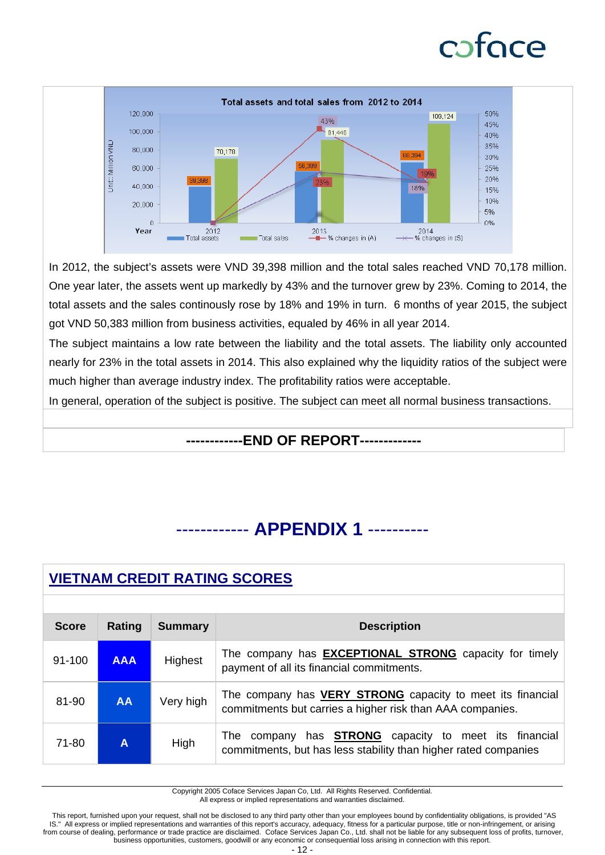

In 2012, the subject's assets were VND 39,398 million and the total sales reached VND 70,178 million. One year later, the assets went up markedly by 43% and the turnover grew by 23%. Coming to 2014, the total assets and the sales continously rose by 18% and 19% in turn. 6 months of year 2015, the subject got VND 50,383 million from business activities, equaled by 46% in all year 2014.

The subject maintains a low rate between the liability and the total assets. The liability only accounted nearly for 23% in the total assets in 2014. This also explained why the liquidity ratios of the subject were much higher than average industry index. The profitability ratios were acceptable.

In general, operation of the subject is positive. The subject can meet all normal business transactions.

### **------------END OF REPORT-------------**

## ------------ **APPENDIX 1** ----------

| <b>VIETNAM CREDIT RATING SCORES</b> |            |                |                                                                                                                                    |  |  |  |  |
|-------------------------------------|------------|----------------|------------------------------------------------------------------------------------------------------------------------------------|--|--|--|--|
|                                     |            |                |                                                                                                                                    |  |  |  |  |
| <b>Score</b>                        | Rating     | <b>Summary</b> | <b>Description</b>                                                                                                                 |  |  |  |  |
| $91 - 100$                          | <b>AAA</b> | Highest        | The company has <b>EXCEPTIONAL STRONG</b> capacity for timely<br>payment of all its financial commitments.                         |  |  |  |  |
| 81-90                               | <b>AA</b>  | Very high      | The company has <b>VERY STRONG</b> capacity to meet its financial<br>commitments but carries a higher risk than AAA companies.     |  |  |  |  |
| $71 - 80$                           | A          | High           | company has <b>STRONG</b> capacity to meet its financial<br>The<br>commitments, but has less stability than higher rated companies |  |  |  |  |

Copyright 2005 Coface Services Japan Co, Ltd. All Rights Reserved. Confidential. All express or implied representations and warranties disclaimed.

 This report, furnished upon your request, shall not be disclosed to any third party other than your employees bound by confidentiality obligations, is provided "AS IS." All express or implied representations and warranties of this report's accuracy, adequacy, fitness for a particular purpose, title or non-infringement, or arising from course of dealing, performance or trade practice are disclaimed. Coface Services Japan Co., Ltd. shall not be liable for any subsequent loss of profits, turnover, business opportunities, customers, goodwill or any economic or consequential loss arising in connection with this report.

- 12 -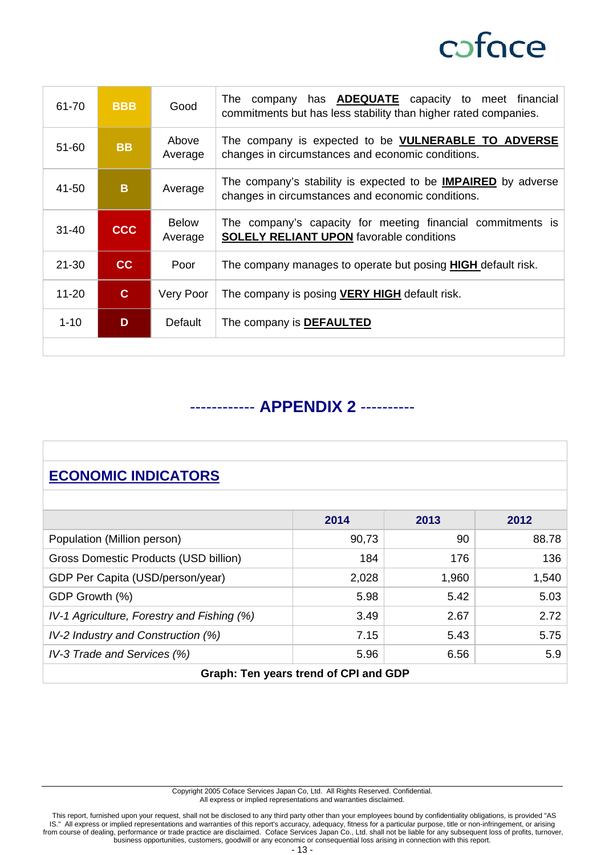

| 61-70     | <b>BBB</b>   | Good                    | company has <b>ADEQUATE</b> capacity to meet financial<br>⊤he<br>commitments but has less stability than higher rated companies. |  |
|-----------|--------------|-------------------------|----------------------------------------------------------------------------------------------------------------------------------|--|
| $51 - 60$ | <b>BB</b>    | Above<br>Average        | The company is expected to be <b>VULNERABLE TO ADVERSE</b><br>changes in circumstances and economic conditions.                  |  |
| 41-50     | B            | Average                 | The company's stability is expected to be <b>IMPAIRED</b> by adverse<br>changes in circumstances and economic conditions.        |  |
| $31 - 40$ | <b>CCC</b>   | <b>Below</b><br>Average | The company's capacity for meeting financial commitments is<br><b>SOLELY RELIANT UPON</b> favorable conditions                   |  |
| $21 - 30$ | cc           | Poor                    | The company manages to operate but posing <b>HIGH</b> default risk.                                                              |  |
| $11 - 20$ | $\mathbf{C}$ | Very Poor               | The company is posing <b>VERY HIGH</b> default risk.                                                                             |  |
| $1 - 10$  | D            | Default                 | The company is <b>DEFAULTED</b>                                                                                                  |  |
|           |              |                         |                                                                                                                                  |  |

## ------------ **APPENDIX 2** ----------

## **ECONOMIC INDICATORS**

|                                            | 2014  | 2013  | 2012  |  |  |  |  |
|--------------------------------------------|-------|-------|-------|--|--|--|--|
| Population (Million person)                | 90,73 | 90    | 88.78 |  |  |  |  |
| Gross Domestic Products (USD billion)      | 184   | 176   | 136   |  |  |  |  |
| GDP Per Capita (USD/person/year)           | 2,028 | 1,960 | 1,540 |  |  |  |  |
| GDP Growth (%)                             | 5.98  | 5.42  | 5.03  |  |  |  |  |
| IV-1 Agriculture, Forestry and Fishing (%) | 3.49  | 2.67  | 2.72  |  |  |  |  |
| IV-2 Industry and Construction (%)         | 7.15  | 5.43  | 5.75  |  |  |  |  |
| IV-3 Trade and Services (%)                | 5.96  | 6.56  | 5.9   |  |  |  |  |
| Graph: Ten years trend of CPI and GDP      |       |       |       |  |  |  |  |

Copyright 2005 Coface Services Japan Co, Ltd. All Rights Reserved. Confidential. All express or implied representations and warranties disclaimed.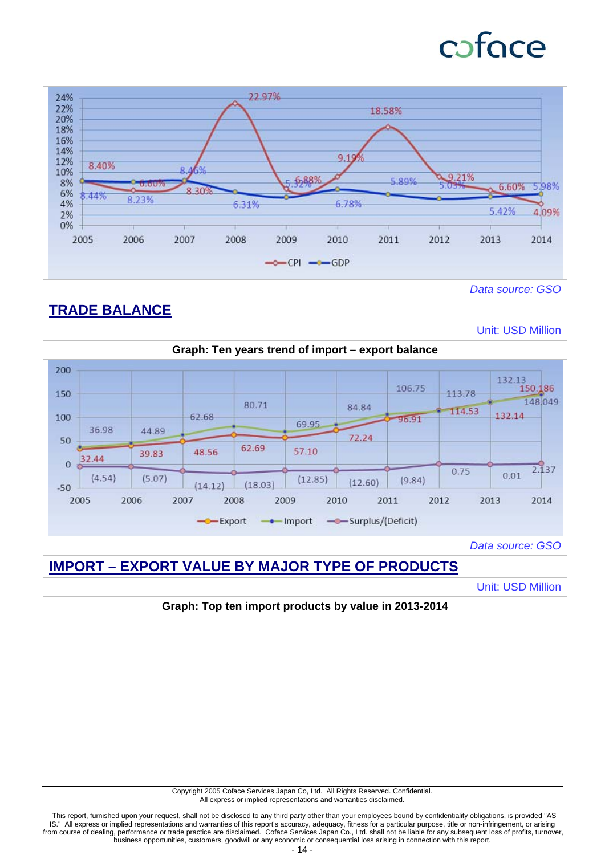# caface



Copyright 2005 Coface Services Japan Co, Ltd. All Rights Reserved. Confidential. All express or implied representations and warranties disclaimed.